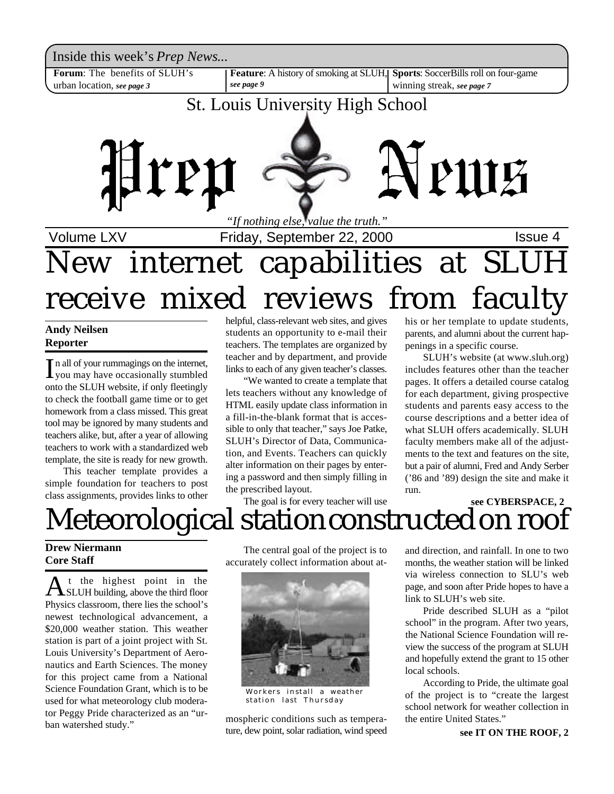Inside this week's *Prep News*...

**Forum**: The benefits of SLUH's urban location, *see page 3*

*see page 9*

**Feature**: A history of smoking at SLUH, **Sports**: SoccerBills roll on four-game

winning streak, *see page 7*

### St. Louis University High School



*"If nothing else, value the truth."*

Volume LXV **Interpretent Controller Friday, September 22, 2000 Issue 4** 

# New internet capabilities at SLUH receive mixed reviews from faculty

#### **Andy Neilsen Reporter**

In all of your rummagings on the internet,<br>I you may have occasionally stumbled you may have occasionally stumbled onto the SLUH website, if only fleetingly to check the football game time or to get homework from a class missed. This great tool may be ignored by many students and teachers alike, but, after a year of allowing teachers to work with a standardized web template, the site is ready for new growth.

This teacher template provides a simple foundation for teachers to post class assignments, provides links to other

helpful, class-relevant web sites, and gives students an opportunity to e-mail their teachers. The templates are organized by teacher and by department, and provide links to each of any given teacher's classes.

"We wanted to create a template that lets teachers without any knowledge of HTML easily update class information in a fill-in-the-blank format that is accessible to only that teacher," says Joe Patke, SLUH's Director of Data, Communication, and Events. Teachers can quickly alter information on their pages by entering a password and then simply filling in the prescribed layout.

The goal is for every teacher will use

his or her template to update students, parents, and alumni about the current happenings in a specific course.

SLUH's website (at www.sluh.org) includes features other than the teacher pages. It offers a detailed course catalog for each department, giving prospective students and parents easy access to the course descriptions and a better idea of what SLUH offers academically. SLUH faculty members make all of the adjustments to the text and features on the site, but a pair of alumni, Fred and Andy Serber ('86 and '89) design the site and make it run.

### Meteorological station constructed on roof **see CYBERSPACE, 2**

### **Drew Niermann Core Staff**

A<sup>t the</sup> highest point in the<br>SLUH building, above the third floor t the highest point in the Physics classroom, there lies the school's newest technological advancement, a \$20,000 weather station. This weather station is part of a joint project with St. Louis University's Department of Aeronautics and Earth Sciences. The money for this project came from a National Science Foundation Grant, which is to be used for what meteorology club moderator Peggy Pride characterized as an "urban watershed study."

The central goal of the project is to accurately collect information about at-



Workers install a weather station last Thursday

mospheric conditions such as temperature, dew point, solar radiation, wind speed and direction, and rainfall. In one to two months, the weather station will be linked via wireless connection to SLU's web page, and soon after Pride hopes to have a link to SLUH's web site.

Pride described SLUH as a "pilot school" in the program. After two years, the National Science Foundation will review the success of the program at SLUH and hopefully extend the grant to 15 other local schools.

According to Pride, the ultimate goal of the project is to "create the largest school network for weather collection in the entire United States."

**see IT ON THE ROOF, 2**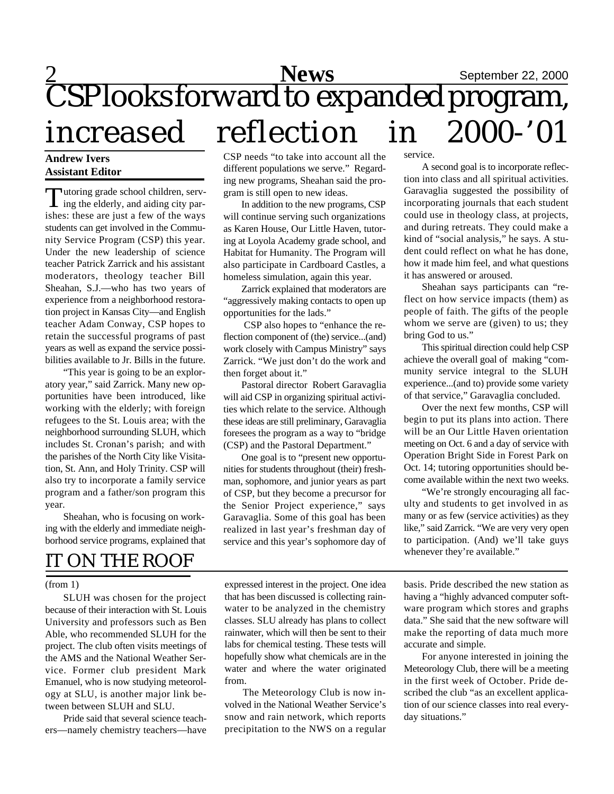### 2<br>**News** September 22, 2000 CSP looks forward to expanded program, increased reflection in 2000-'01 service.

#### **Andrew Ivers Assistant Editor**

Tutoring grade school children, serv-<br>ing the elderly, and aiding city parutoring grade school children, servishes: these are just a few of the ways students can get involved in the Community Service Program (CSP) this year. Under the new leadership of science teacher Patrick Zarrick and his assistant moderators, theology teacher Bill Sheahan, S.J.—who has two years of experience from a neighborhood restoration project in Kansas City—and English teacher Adam Conway, CSP hopes to retain the successful programs of past years as well as expand the service possibilities available to Jr. Bills in the future.

"This year is going to be an exploratory year," said Zarrick. Many new opportunities have been introduced, like working with the elderly; with foreign refugees to the St. Louis area; with the neighborhood surrounding SLUH, which includes St. Cronan's parish; and with the parishes of the North City like Visitation, St. Ann, and Holy Trinity. CSP will also try to incorporate a family service program and a father/son program this year.

Sheahan, who is focusing on working with the elderly and immediate neighborhood service programs, explained that

### IT ON THE ROOF

#### (from 1)

SLUH was chosen for the project because of their interaction with St. Louis University and professors such as Ben Able, who recommended SLUH for the project. The club often visits meetings of the AMS and the National Weather Service. Former club president Mark Emanuel, who is now studying meteorology at SLU, is another major link between between SLUH and SLU.

Pride said that several science teachers—namely chemistry teachers—have CSP needs "to take into account all the different populations we serve." Regarding new programs, Sheahan said the program is still open to new ideas.

In addition to the new programs, CSP will continue serving such organizations as Karen House, Our Little Haven, tutoring at Loyola Academy grade school, and Habitat for Humanity. The Program will also participate in Cardboard Castles, a homeless simulation, again this year.

Zarrick explained that moderators are "aggressively making contacts to open up opportunities for the lads."

 CSP also hopes to "enhance the reflection component of (the) service...(and) work closely with Campus Ministry" says Zarrick. "We just don't do the work and then forget about it."

Pastoral director Robert Garavaglia will aid CSP in organizing spiritual activities which relate to the service. Although these ideas are still preliminary, Garavaglia foresees the program as a way to "bridge (CSP) and the Pastoral Department."

One goal is to "present new opportunities for students throughout (their) freshman, sophomore, and junior years as part of CSP, but they become a precursor for the Senior Project experience," says Garavaglia. Some of this goal has been realized in last year's freshman day of service and this year's sophomore day of

A second goal is to incorporate reflection into class and all spiritual activities. Garavaglia suggested the possibility of incorporating journals that each student could use in theology class, at projects, and during retreats. They could make a kind of "social analysis," he says. A student could reflect on what he has done, how it made him feel, and what questions it has answered or aroused.

Sheahan says participants can "reflect on how service impacts (them) as people of faith. The gifts of the people whom we serve are (given) to us; they bring God to us."

This spiritual direction could help CSP achieve the overall goal of making "community service integral to the SLUH experience...(and to) provide some variety of that service," Garavaglia concluded.

Over the next few months, CSP will begin to put its plans into action. There will be an Our Little Haven orientation meeting on Oct. 6 and a day of service with Operation Bright Side in Forest Park on Oct. 14; tutoring opportunities should become available within the next two weeks.

"We're strongly encouraging all faculty and students to get involved in as many or as few (service activities) as they like," said Zarrick. "We are very very open to participation. (And) we'll take guys whenever they're available."

expressed interest in the project. One idea that has been discussed is collecting rainwater to be analyzed in the chemistry classes. SLU already has plans to collect rainwater, which will then be sent to their labs for chemical testing. These tests will hopefully show what chemicals are in the water and where the water originated from.

The Meteorology Club is now involved in the National Weather Service's snow and rain network, which reports precipitation to the NWS on a regular basis. Pride described the new station as having a "highly advanced computer software program which stores and graphs data." She said that the new software will make the reporting of data much more accurate and simple.

For anyone interested in joining the Meteorology Club, there will be a meeting in the first week of October. Pride described the club "as an excellent application of our science classes into real everyday situations."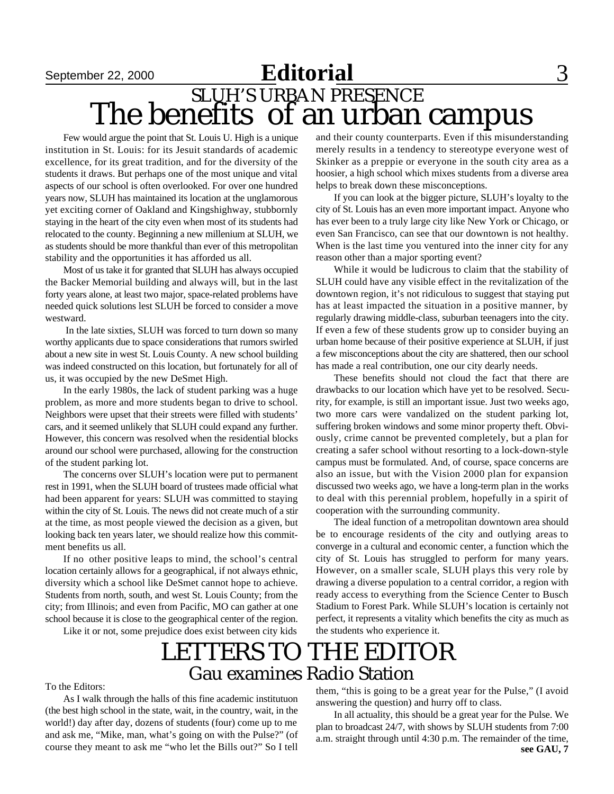Few would argue the point that St. Louis U. High is a unique institution in St. Louis: for its Jesuit standards of academic excellence, for its great tradition, and for the diversity of the students it draws. But perhaps one of the most unique and vital aspects of our school is often overlooked. For over one hundred years now, SLUH has maintained its location at the unglamorous yet exciting corner of Oakland and Kingshighway, stubbornly staying in the heart of the city even when most of its students had relocated to the county. Beginning a new millenium at SLUH, we as students should be more thankful than ever of this metropolitan stability and the opportunities it has afforded us all.

Most of us take it for granted that SLUH has always occupied the Backer Memorial building and always will, but in the last forty years alone, at least two major, space-related problems have needed quick solutions lest SLUH be forced to consider a move westward.

 In the late sixties, SLUH was forced to turn down so many worthy applicants due to space considerations that rumors swirled about a new site in west St. Louis County. A new school building was indeed constructed on this location, but fortunately for all of us, it was occupied by the new DeSmet High.

In the early 1980s, the lack of student parking was a huge problem, as more and more students began to drive to school. Neighbors were upset that their streets were filled with students' cars, and it seemed unlikely that SLUH could expand any further. However, this concern was resolved when the residential blocks around our school were purchased, allowing for the construction of the student parking lot.

The concerns over SLUH's location were put to permanent rest in 1991, when the SLUH board of trustees made official what had been apparent for years: SLUH was committed to staying within the city of St. Louis. The news did not create much of a stir at the time, as most people viewed the decision as a given, but looking back ten years later, we should realize how this commitment benefits us all.

If no other positive leaps to mind, the school's central location certainly allows for a geographical, if not always ethnic, diversity which a school like DeSmet cannot hope to achieve. Students from north, south, and west St. Louis County; from the city; from Illinois; and even from Pacific, MO can gather at one school because it is close to the geographical center of the region.

Like it or not, some prejudice does exist between city kids

and their county counterparts. Even if this misunderstanding merely results in a tendency to stereotype everyone west of Skinker as a preppie or everyone in the south city area as a hoosier, a high school which mixes students from a diverse area helps to break down these misconceptions.

If you can look at the bigger picture, SLUH's loyalty to the city of St. Louis has an even more important impact. Anyone who has ever been to a truly large city like New York or Chicago, or even San Francisco, can see that our downtown is not healthy. When is the last time you ventured into the inner city for any reason other than a major sporting event?

While it would be ludicrous to claim that the stability of SLUH could have any visible effect in the revitalization of the downtown region, it's not ridiculous to suggest that staying put has at least impacted the situation in a positive manner, by regularly drawing middle-class, suburban teenagers into the city. If even a few of these students grow up to consider buying an urban home because of their positive experience at SLUH, if just a few misconceptions about the city are shattered, then our school has made a real contribution, one our city dearly needs.

These benefits should not cloud the fact that there are drawbacks to our location which have yet to be resolved. Security, for example, is still an important issue. Just two weeks ago, two more cars were vandalized on the student parking lot, suffering broken windows and some minor property theft. Obviously, crime cannot be prevented completely, but a plan for creating a safer school without resorting to a lock-down-style campus must be formulated. And, of course, space concerns are also an issue, but with the Vision 2000 plan for expansion discussed two weeks ago, we have a long-term plan in the works to deal with this perennial problem, hopefully in a spirit of cooperation with the surrounding community.

The ideal function of a metropolitan downtown area should be to encourage residents of the city and outlying areas to converge in a cultural and economic center, a function which the city of St. Louis has struggled to perform for many years. However, on a smaller scale, SLUH plays this very role by drawing a diverse population to a central corridor, a region with ready access to everything from the Science Center to Busch Stadium to Forest Park. While SLUH's location is certainly not perfect, it represents a vitality which benefits the city as much as the students who experience it.

### Gau examines Radio Station LETTERS TO THE EDITOR

To the Editors:

As I walk through the halls of this fine academic institutuon (the best high school in the state, wait, in the country, wait, in the world!) day after day, dozens of students (four) come up to me and ask me, "Mike, man, what's going on with the Pulse?" (of course they meant to ask me "who let the Bills out?" So I tell

them, "this is going to be a great year for the Pulse," (I avoid answering the question) and hurry off to class.

**see GAU, 7** In all actuality, this should be a great year for the Pulse. We plan to broadcast 24/7, with shows by SLUH students from 7:00 a.m. straight through until 4:30 p.m. The remainder of the time,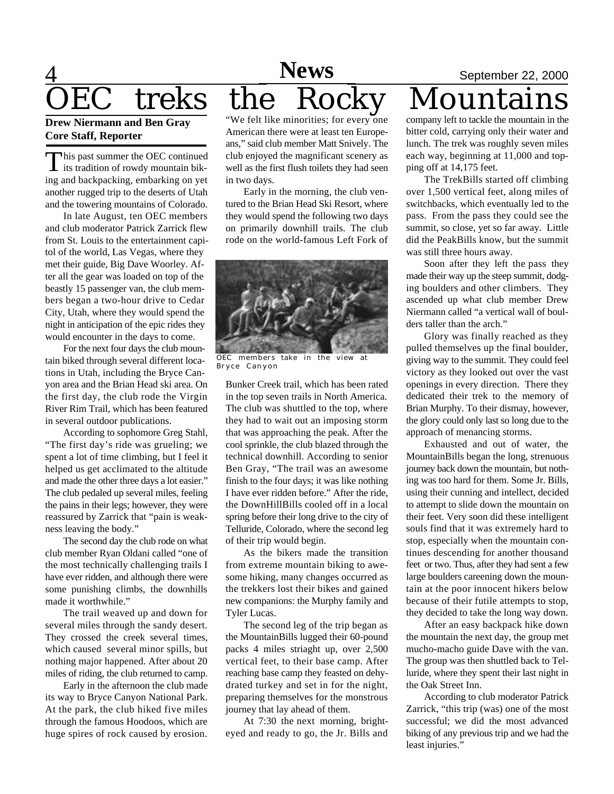# 4 **News** September 22, 2000

#### **Drew Niermann and Ben Gray Core Staff, Reporter**

This past summer the OEC continued<br>its tradition of rowdy mountain bikhis past summer the OEC continued ing and backpacking, embarking on yet another rugged trip to the deserts of Utah and the towering mountains of Colorado.

In late August, ten OEC members and club moderator Patrick Zarrick flew from St. Louis to the entertainment capitol of the world, Las Vegas, where they met their guide, Big Dave Woorley. After all the gear was loaded on top of the beastly 15 passenger van, the club members began a two-hour drive to Cedar City, Utah, where they would spend the night in anticipation of the epic rides they would encounter in the days to come.

For the next four days the club mountain biked through several different locations in Utah, including the Bryce Canyon area and the Brian Head ski area. On the first day, the club rode the Virgin River Rim Trail, which has been featured in several outdoor publications.

According to sophomore Greg Stahl, "The first day's ride was grueling; we spent a lot of time climbing, but I feel it helped us get acclimated to the altitude and made the other three days a lot easier." The club pedaled up several miles, feeling the pains in their legs; however, they were reassured by Zarrick that "pain is weakness leaving the body."

The second day the club rode on what club member Ryan Oldani called "one of the most technically challenging trails I have ever ridden, and although there were some punishing climbs, the downhills made it worthwhile."

The trail weaved up and down for several miles through the sandy desert. They crossed the creek several times, which caused several minor spills, but nothing major happened. After about 20 miles of riding, the club returned to camp.

Early in the afternoon the club made its way to Bryce Canyon National Park. At the park, the club hiked five miles through the famous Hoodoos, which are huge spires of rock caused by erosion.

OEC treks the Rocky Mountains "We felt like minorities; for every one American there were at least ten Europeans," said club member Matt Snively. The **News**

club enjoyed the magnificant scenery as well as the first flush toilets they had seen in two days. Early in the morning, the club ven-

tured to the Brian Head Ski Resort, where they would spend the following two days on primarily downhill trails. The club rode on the world-famous Left Fork of



OEC members take in the view Bryce Canyon

Bunker Creek trail, which has been rated in the top seven trails in North America. The club was shuttled to the top, where they had to wait out an imposing storm that was approaching the peak. After the cool sprinkle, the club blazed through the technical downhill. According to senior Ben Gray, "The trail was an awesome finish to the four days; it was like nothing I have ever ridden before." After the ride, the DownHillBills cooled off in a local spring before their long drive to the city of Telluride, Colorado, where the second leg of their trip would begin.

As the bikers made the transition from extreme mountain biking to awesome hiking, many changes occurred as the trekkers lost their bikes and gained new companions: the Murphy family and Tyler Lucas.

The second leg of the trip began as the MountainBills lugged their 60-pound packs 4 miles striaght up, over 2,500 vertical feet, to their base camp. After reaching base camp they feasted on dehydrated turkey and set in for the night, preparing themselves for the monstrous journey that lay ahead of them.

At 7:30 the next morning, brighteyed and ready to go, the Jr. Bills and

company left to tackle the mountain in the bitter cold, carrying only their water and lunch. The trek was roughly seven miles each way, beginning at 11,000 and topping off at 14,175 feet.

The TrekBills started off climbing over 1,500 vertical feet, along miles of switchbacks, which eventually led to the pass. From the pass they could see the summit, so close, yet so far away. Little did the PeakBills know, but the summit was still three hours away.

Soon after they left the pass they made their way up the steep summit, dodging boulders and other climbers. They ascended up what club member Drew Niermann called "a vertical wall of boulders taller than the arch."

Glory was finally reached as they pulled themselves up the final boulder, giving way to the summit. They could feel victory as they looked out over the vast openings in every direction. There they dedicated their trek to the memory of Brian Murphy. To their dismay, however, the glory could only last so long due to the approach of menancing storms.

Exhausted and out of water, the MountainBills began the long, strenuous journey back down the mountain, but nothing was too hard for them. Some Jr. Bills, using their cunning and intellect, decided to attempt to slide down the mountain on their feet. Very soon did these intelligent souls find that it was extremely hard to stop, especially when the mountain continues descending for another thousand feet or two. Thus, after they had sent a few large boulders careening down the mountain at the poor innocent hikers below because of their futile attempts to stop, they decided to take the long way down.

After an easy backpack hike down the mountain the next day, the group met mucho-macho guide Dave with the van. The group was then shuttled back to Telluride, where they spent their last night in the Oak Street Inn.

According to club moderator Patrick Zarrick, "this trip (was) one of the most successful; we did the most advanced biking of any previous trip and we had the least injuries."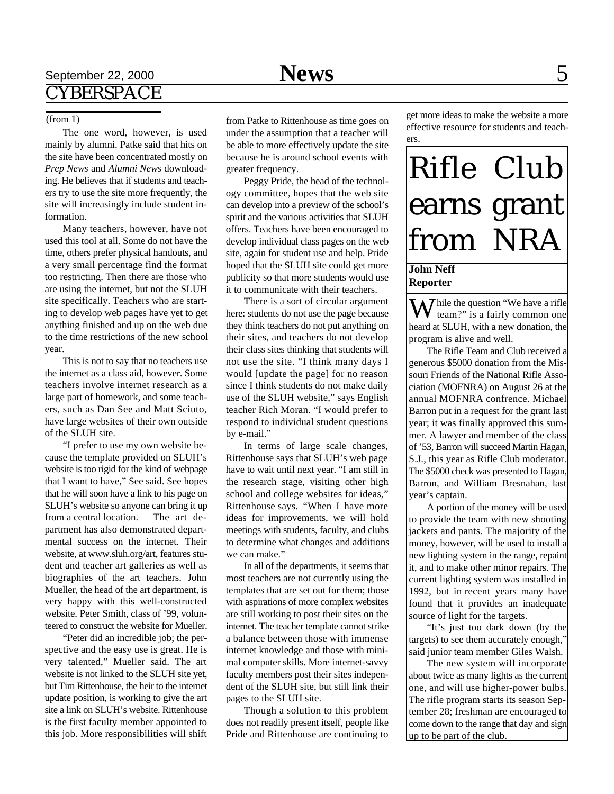#### (from 1)

The one word, however, is used mainly by alumni. Patke said that hits on the site have been concentrated mostly on *Prep News* and *Alumni News* downloading. He believes that if students and teachers try to use the site more frequently, the site will increasingly include student information.

Many teachers, however, have not used this tool at all. Some do not have the time, others prefer physical handouts, and a very small percentage find the format too restricting. Then there are those who are using the internet, but not the SLUH site specifically. Teachers who are starting to develop web pages have yet to get anything finished and up on the web due to the time restrictions of the new school year.

This is not to say that no teachers use the internet as a class aid, however. Some teachers involve internet research as a large part of homework, and some teachers, such as Dan See and Matt Sciuto, have large websites of their own outside of the SLUH site.

"I prefer to use my own website because the template provided on SLUH's website is too rigid for the kind of webpage that I want to have," See said. See hopes that he will soon have a link to his page on SLUH's website so anyone can bring it up from a central location. The art department has also demonstrated departmental success on the internet. Their website, at www.sluh.org/art, features student and teacher art galleries as well as biographies of the art teachers. John Mueller, the head of the art department, is very happy with this well-constructed website. Peter Smith, class of '99, volunteered to construct the website for Mueller.

"Peter did an incredible job; the perspective and the easy use is great. He is very talented," Mueller said. The art website is not linked to the SLUH site yet, but Tim Rittenhouse, the heir to the internet update position, is working to give the art site a link on SLUH's website. Rittenhouse is the first faculty member appointed to this job. More responsibilities will shift

from Patke to Rittenhouse as time goes on under the assumption that a teacher will be able to more effectively update the site because he is around school events with greater frequency.

Peggy Pride, the head of the technology committee, hopes that the web site can develop into a preview of the school's spirit and the various activities that SLUH offers. Teachers have been encouraged to develop individual class pages on the web site, again for student use and help. Pride hoped that the SLUH site could get more publicity so that more students would use it to communicate with their teachers.

There is a sort of circular argument here: students do not use the page because they think teachers do not put anything on their sites, and teachers do not develop their class sites thinking that students will not use the site. "I think many days I would [update the page] for no reason since I think students do not make daily use of the SLUH website," says English teacher Rich Moran. "I would prefer to respond to individual student questions by e-mail."

In terms of large scale changes, Rittenhouse says that SLUH's web page have to wait until next year. "I am still in the research stage, visiting other high school and college websites for ideas," Rittenhouse says. "When I have more ideas for improvements, we will hold meetings with students, faculty, and clubs to determine what changes and additions we can make."

In all of the departments, it seems that most teachers are not currently using the templates that are set out for them; those with aspirations of more complex websites are still working to post their sites on the internet. The teacher template cannot strike a balance between those with immense internet knowledge and those with minimal computer skills. More internet-savvy faculty members post their sites independent of the SLUH site, but still link their pages to the SLUH site.

Though a solution to this problem does not readily present itself, people like Pride and Rittenhouse are continuing to

get more ideas to make the website a more effective resource for students and teachers.



#### **John Neff Reporter**

 $\sum$  hile the question "We have a rifle team?" is a fairly common one heard at SLUH, with a new donation, the program is alive and well.

The Rifle Team and Club received a generous \$5000 donation from the Missouri Friends of the National Rifle Association (MOFNRA) on August 26 at the annual MOFNRA confrence. Michael Barron put in a request for the grant last year; it was finally approved this summer. A lawyer and member of the class of '53, Barron will succeed Martin Hagan, S.J., this year as Rifle Club moderator. The \$5000 check was presented to Hagan, Barron, and William Bresnahan, last year's captain.

A portion of the money will be used to provide the team with new shooting jackets and pants. The majority of the money, however, will be used to install a new lighting system in the range, repaint it, and to make other minor repairs. The current lighting system was installed in 1992, but in recent years many have found that it provides an inadequate source of light for the targets.

"It's just too dark down (by the targets) to see them accurately enough," said junior team member Giles Walsh.

The new system will incorporate about twice as many lights as the current one, and will use higher-power bulbs. The rifle program starts its season September 28; freshman are encouraged to come down to the range that day and sign up to be part of the club.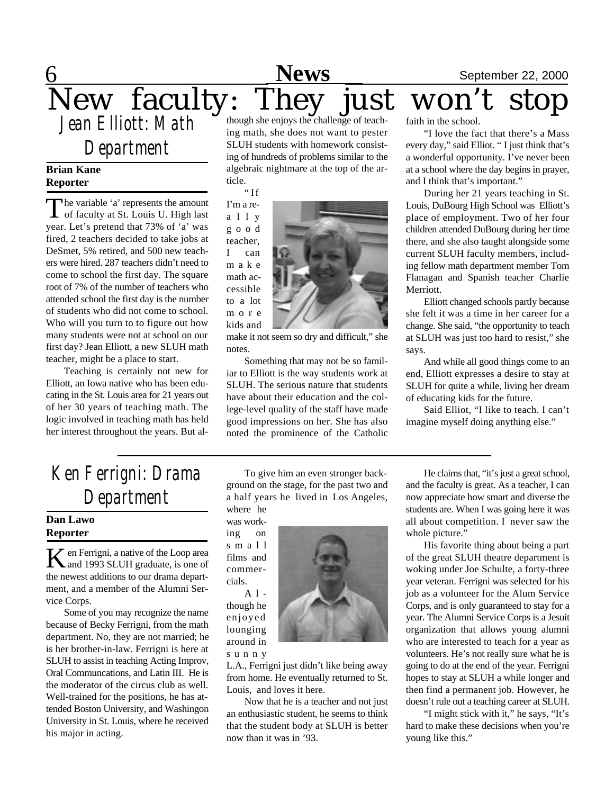#### **6** September 22, 2000 New faculty: They just won't stop *Jean Elliott: Math Department* though she enjoys the challenge of teaching math, she does not want to pester SLUH students with homework consistfaith in the school. "I love the fact that there's a Mass **News**

#### **Brian Kane Reporter**

The variable 'a' represents the amount<br>of faculty at St. Louis U. High last he variable 'a' represents the amount year. Let's pretend that 73% of 'a' was fired, 2 teachers decided to take jobs at DeSmet, 5% retired, and 500 new teachers were hired. 287 teachers didn't need to come to school the first day. The square root of 7% of the number of teachers who attended school the first day is the number of students who did not come to school. Who will you turn to to figure out how many students were not at school on our first day? Jean Elliott, a new SLUH math teacher, might be a place to start.

Teaching is certainly not new for Elliott, an Iowa native who has been educating in the St. Louis area for 21 years out of her 30 years of teaching math. The logic involved in teaching math has held her interest throughout the years. But aling of hundreds of problems similar to the algebraic nightmare at the top of the article.

" If I'm a re-

a l l y g o o d teacher, I can m a k e math accessible to a lot m o r e kids and



make it not seem so dry and difficult," she notes.

Something that may not be so familiar to Elliott is the way students work at SLUH. The serious nature that students have about their education and the college-level quality of the staff have made good impressions on her. She has also noted the prominence of the Catholic every day," said Elliot. " I just think that's a wonderful opportunity. I've never been at a school where the day begins in prayer, and I think that's important."

During her 21 years teaching in St. Louis, DuBourg High School was Elliott's place of employment. Two of her four children attended DuBourg during her time there, and she also taught alongside some current SLUH faculty members, including fellow math department member Tom Flanagan and Spanish teacher Charlie Merriott.

Elliott changed schools partly because she felt it was a time in her career for a change. She said, "the opportunity to teach at SLUH was just too hard to resist," she says.

And while all good things come to an end, Elliott expresses a desire to stay at SLUH for quite a while, living her dream of educating kids for the future.

Said Elliot, "I like to teach. I can't imagine myself doing anything else."

### *Ken Ferrigni: Drama Department*

#### **Dan Lawo Reporter**

K en Ferrigni, a native of the Loop area<br>
and 1993 SLUH graduate, is one of  $\mathbb Z$  en Ferrigni, a native of the Loop area the newest additions to our drama department, and a member of the Alumni Service Corps.

Some of you may recognize the name because of Becky Ferrigni, from the math department. No, they are not married; he is her brother-in-law. Ferrigni is here at SLUH to assist in teaching Acting Improv, Oral Communcations, and Latin III. He is the moderator of the circus club as well. Well-trained for the positions, he has attended Boston University, and Washingon University in St. Louis, where he received his major in acting.

To give him an even stronger background on the stage, for the past two and a half years he lived in Los Angeles, where he

was working on s m a l l films and commercials. A l -

though he enjoyed lounging around in s u n n y



Now that he is a teacher and not just an enthusiastic student, he seems to think that the student body at SLUH is better now than it was in '93.

He claims that, "it's just a great school, and the faculty is great. As a teacher, I can now appreciate how smart and diverse the students are. When I was going here it was all about competition. I never saw the whole picture."

His favorite thing about being a part of the great SLUH theatre department is woking under Joe Schulte, a forty-three year veteran. Ferrigni was selected for his job as a volunteer for the Alum Service Corps, and is only guaranteed to stay for a year. The Alumni Service Corps is a Jesuit organization that allows young alumni who are interested to teach for a year as volunteers. He's not really sure what he is going to do at the end of the year. Ferrigni hopes to stay at SLUH a while longer and then find a permanent job. However, he doesn't rule out a teaching career at SLUH.

"I might stick with it," he says, "It's hard to make these decisions when you're young like this."

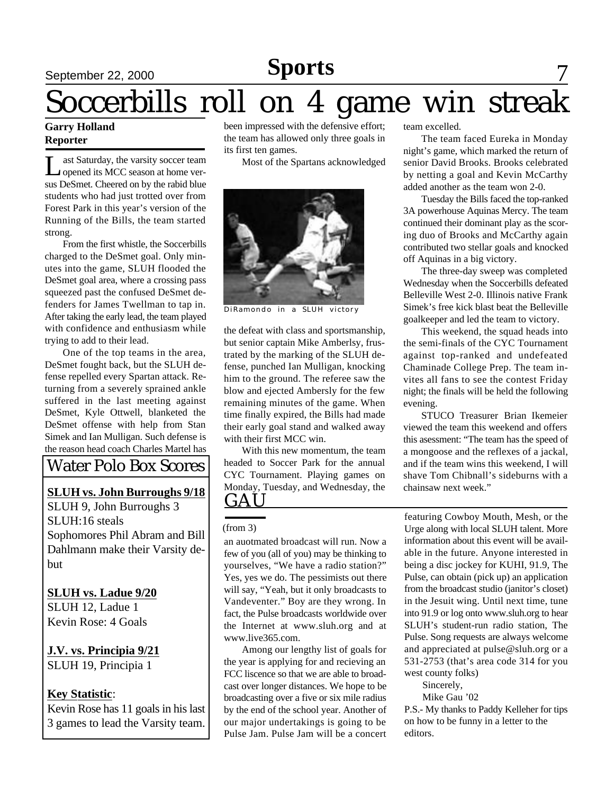### **Sports**

### September 22, 2000 **News** 5 **POPTS** 7

# Soccerbills roll on 4 game win streak

#### **Garry Holland Reporter**

Let Saturday, the varsity soccer team<br>opened its MCC season at home verast Saturday, the varsity soccer team sus DeSmet. Cheered on by the rabid blue students who had just trotted over from Forest Park in this year's version of the Running of the Bills, the team started strong.

From the first whistle, the Soccerbills charged to the DeSmet goal. Only minutes into the game, SLUH flooded the DeSmet goal area, where a crossing pass squeezed past the confused DeSmet defenders for James Twellman to tap in. After taking the early lead, the team played with confidence and enthusiasm while trying to add to their lead.

One of the top teams in the area, DeSmet fought back, but the SLUH defense repelled every Spartan attack. Returning from a severely sprained ankle suffered in the last meeting against DeSmet, Kyle Ottwell, blanketed the DeSmet offense with help from Stan Simek and Ian Mulligan. Such defense is the reason head coach Charles Martel has

### Water Polo Box Scores

### **SLUH vs. John Burroughs 9/18**

SLUH 9, John Burroughs 3 SLUH:16 steals Sophomores Phil Abram and Bill Dahlmann make their Varsity debut

### **SLUH vs. Ladue 9/20**

SLUH 12, Ladue 1 Kevin Rose: 4 Goals

### **J.V. vs. Principia 9/21** SLUH 19, Principia 1

### **Key Statistic**:

Kevin Rose has 11 goals in his last 3 games to lead the Varsity team.

been impressed with the defensive effort; the team has allowed only three goals in its first ten games.

Most of the Spartans acknowledged



DiRamondo in a SLUH victory

the defeat with class and sportsmanship, but senior captain Mike Amberlsy, frustrated by the marking of the SLUH defense, punched Ian Mulligan, knocking him to the ground. The referee saw the blow and ejected Ambersly for the few remaining minutes of the game. When time finally expired, the Bills had made their early goal stand and walked away with their first MCC win.

**GAU** With this new momentum, the team headed to Soccer Park for the annual CYC Tournament. Playing games on Monday, Tuesday, and Wednesday, the

#### (from 3)

an auotmated broadcast will run. Now a few of you (all of you) may be thinking to yourselves, "We have a radio station?" Yes, yes we do. The pessimists out there will say, "Yeah, but it only broadcasts to Vandeventer." Boy are they wrong. In fact, the Pulse broadcasts worldwide over the Internet at www.sluh.org and at www.live365.com.

Among our lengthy list of goals for the year is applying for and recieving an FCC liscence so that we are able to broadcast over longer distances. We hope to be broadcasting over a five or six mile radius by the end of the school year. Another of our major undertakings is going to be Pulse Jam. Pulse Jam will be a concert

team excelled.

The team faced Eureka in Monday night's game, which marked the return of senior David Brooks. Brooks celebrated by netting a goal and Kevin McCarthy added another as the team won 2-0.

Tuesday the Bills faced the top-ranked 3A powerhouse Aquinas Mercy. The team continued their dominant play as the scoring duo of Brooks and McCarthy again contributed two stellar goals and knocked off Aquinas in a big victory.

The three-day sweep was completed Wednesday when the Soccerbills defeated Belleville West 2-0. Illinois native Frank Simek's free kick blast beat the Belleville goalkeeper and led the team to victory.

This weekend, the squad heads into the semi-finals of the CYC Tournament against top-ranked and undefeated Chaminade College Prep. The team invites all fans to see the contest Friday night; the finals will be held the following evening.

STUCO Treasurer Brian Ikemeier viewed the team this weekend and offers this asessment: "The team has the speed of a mongoose and the reflexes of a jackal, and if the team wins this weekend, I will shave Tom Chibnall's sideburns with a chainsaw next week."

featuring Cowboy Mouth, Mesh, or the Urge along with local SLUH talent. More information about this event will be available in the future. Anyone interested in being a disc jockey for KUHI, 91.9, The Pulse, can obtain (pick up) an application from the broadcast studio (janitor's closet) in the Jesuit wing. Until next time, tune into 91.9 or log onto www.sluh.org to hear SLUH's student-run radio station, The Pulse. Song requests are always welcome and appreciated at pulse@sluh.org or a 531-2753 (that's area code 314 for you west county folks)

Sincerely,

Mike Gau '02

P.S.- My thanks to Paddy Kelleher for tips on how to be funny in a letter to the editors.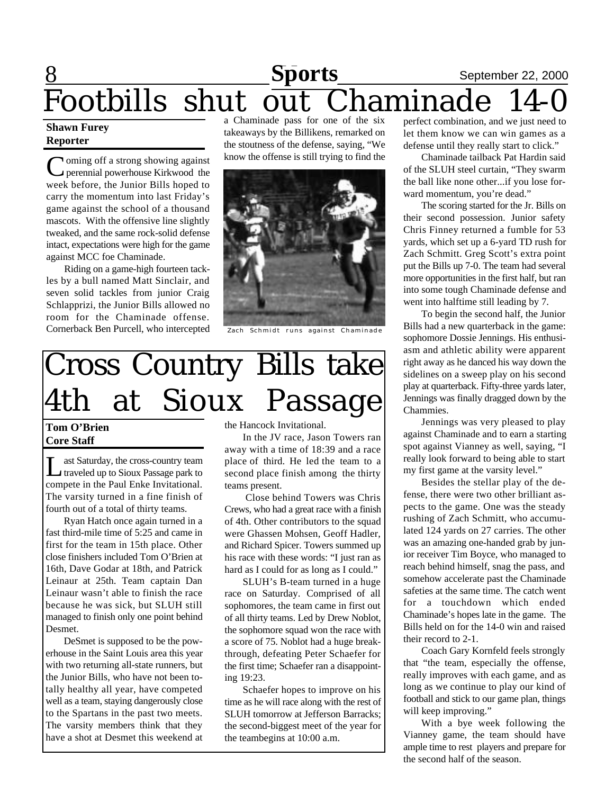### 8 **Sports** September 22, 2000 Footbills shut out Chaminade 14-0 **Sports**<br> **Sult Chaminade**

#### **Shawn Furey Reporter**

Coming off a strong showing against<br>
perennial powerhouse Kirkwood the **I** oming off a strong showing against week before, the Junior Bills hoped to carry the momentum into last Friday's game against the school of a thousand mascots. With the offensive line slightly tweaked, and the same rock-solid defense intact, expectations were high for the game against MCC foe Chaminade.

Riding on a game-high fourteen tackles by a bull named Matt Sinclair, and seven solid tackles from junior Craig Schlapprizi, the Junior Bills allowed no room for the Chaminade offense. Cornerback Ben Purcell, who intercepted

a Chaminade pass for one of the six takeaways by the Billikens, remarked on the stoutness of the defense, saying, "We know the offense is still trying to find the



Zach Schmidt runs against Chaminade

# Cross Country Bills take 4th at Sioux Passage

### **Tom O'Brien Core Staff**

Last Saturday, the cross-country team traveled up to Sioux Passage park to compete in the Paul Enke Invitational. The varsity turned in a fine finish of fourth out of a total of thirty teams.

Ryan Hatch once again turned in a fast third-mile time of 5:25 and came in first for the team in 15th place. Other close finishers included Tom O'Brien at 16th, Dave Godar at 18th, and Patrick Leinaur at 25th. Team captain Dan Leinaur wasn't able to finish the race because he was sick, but SLUH still managed to finish only one point behind Desmet.

DeSmet is supposed to be the powerhouse in the Saint Louis area this year with two returning all-state runners, but the Junior Bills, who have not been totally healthy all year, have competed well as a team, staying dangerously close to the Spartans in the past two meets. The varsity members think that they have a shot at Desmet this weekend at the Hancock Invitational.

In the JV race, Jason Towers ran away with a time of 18:39 and a race place of third. He led the team to a second place finish among the thirty teams present.

 Close behind Towers was Chris Crews, who had a great race with a finish of 4th. Other contributors to the squad were Ghassen Mohsen, Geoff Hadler, and Richard Spicer. Towers summed up his race with these words: "I just ran as hard as I could for as long as I could."

SLUH's B-team turned in a huge race on Saturday. Comprised of all sophomores, the team came in first out of all thirty teams. Led by Drew Noblot, the sophomore squad won the race with a score of 75. Noblot had a huge breakthrough, defeating Peter Schaefer for the first time; Schaefer ran a disappointing 19:23.

Schaefer hopes to improve on his time as he will race along with the rest of SLUH tomorrow at Jefferson Barracks; the second-biggest meet of the year for the teambegins at 10:00 a.m.

perfect combination, and we just need to let them know we can win games as a defense until they really start to click."

Chaminade tailback Pat Hardin said of the SLUH steel curtain, "They swarm the ball like none other...if you lose forward momentum, you're dead."

The scoring started for the Jr. Bills on their second possession. Junior safety Chris Finney returned a fumble for 53 yards, which set up a 6-yard TD rush for Zach Schmitt. Greg Scott's extra point put the Bills up 7-0. The team had several more opportunities in the first half, but ran into some tough Chaminade defense and went into halftime still leading by 7.

To begin the second half, the Junior Bills had a new quarterback in the game: sophomore Dossie Jennings. His enthusiasm and athletic ability were apparent right away as he danced his way down the sidelines on a sweep play on his second play at quarterback. Fifty-three yards later, Jennings was finally dragged down by the Chammies.

Jennings was very pleased to play against Chaminade and to earn a starting spot against Vianney as well, saying, "I really look forward to being able to start my first game at the varsity level."

Besides the stellar play of the defense, there were two other brilliant aspects to the game. One was the steady rushing of Zach Schmitt, who accumulated 124 yards on 27 carries. The other was an amazing one-handed grab by junior receiver Tim Boyce, who managed to reach behind himself, snag the pass, and somehow accelerate past the Chaminade safeties at the same time. The catch went for a touchdown which ended Chaminade's hopes late in the game. The Bills held on for the 14-0 win and raised their record to 2-1.

Coach Gary Kornfeld feels strongly that "the team, especially the offense, really improves with each game, and as long as we continue to play our kind of football and stick to our game plan, things will keep improving."

With a bye week following the Vianney game, the team should have ample time to rest players and prepare for the second half of the season.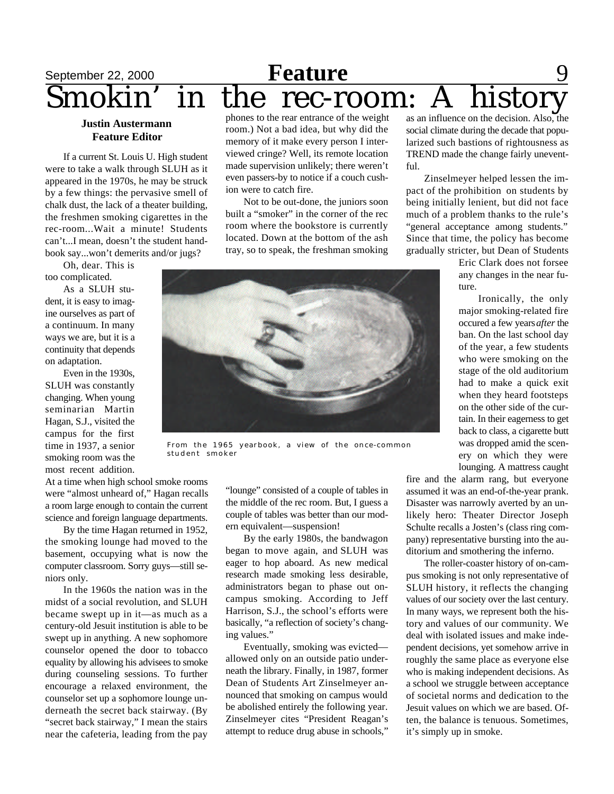# September 22, 2000 **Feature** 9 Smokin' in the rec-room: A history

#### **Justin Austermann Feature Editor**

If a current St. Louis U. High student were to take a walk through SLUH as it appeared in the 1970s, he may be struck by a few things: the pervasive smell of chalk dust, the lack of a theater building, the freshmen smoking cigarettes in the rec-room...Wait a minute! Students can't...I mean, doesn't the student handbook say...won't demerits and/or jugs?

Oh, dear. This is too complicated.

As a SLUH student, it is easy to imagine ourselves as part of a continuum. In many ways we are, but it is a continuity that depends on adaptation.

Even in the 1930s, SLUH was constantly changing. When young seminarian Martin Hagan, S.J., visited the campus for the first time in 1937, a senior smoking room was the most recent addition.

phones to the rear entrance of the weight room.) Not a bad idea, but why did the memory of it make every person I interviewed cringe? Well, its remote location made supervision unlikely; there weren't even passers-by to notice if a couch cushion were to catch fire.

Not to be out-done, the juniors soon built a "smoker" in the corner of the rec room where the bookstore is currently located. Down at the bottom of the ash tray, so to speak, the freshman smoking



From the 1965 yearbook, a view of the once-common student smoker

At a time when high school smoke rooms were "almost unheard of," Hagan recalls a room large enough to contain the current science and foreign language departments.

By the time Hagan returned in 1952, the smoking lounge had moved to the basement, occupying what is now the computer classroom. Sorry guys—still seniors only.

In the 1960s the nation was in the midst of a social revolution, and SLUH became swept up in it—as much as a century-old Jesuit institution is able to be swept up in anything. A new sophomore counselor opened the door to tobacco equality by allowing his advisees to smoke during counseling sessions. To further encourage a relaxed environment, the counselor set up a sophomore lounge underneath the secret back stairway. (By "secret back stairway," I mean the stairs near the cafeteria, leading from the pay

"lounge" consisted of a couple of tables in the middle of the rec room. But, I guess a couple of tables was better than our modern equivalent—suspension!

By the early 1980s, the bandwagon began to move again, and SLUH was eager to hop aboard. As new medical research made smoking less desirable, administrators began to phase out oncampus smoking. According to Jeff Harrison, S.J., the school's efforts were basically, "a reflection of society's changing values."

Eventually, smoking was evicted allowed only on an outside patio underneath the library. Finally, in 1987, former Dean of Students Art Zinselmeyer announced that smoking on campus would be abolished entirely the following year. Zinselmeyer cites "President Reagan's attempt to reduce drug abuse in schools,"

as an influence on the decision. Also, the social climate during the decade that popularized such bastions of rightousness as TREND made the change fairly uneventful.

Zinselmeyer helped lessen the impact of the prohibition on students by being initially lenient, but did not face much of a problem thanks to the rule's "general acceptance among students." Since that time, the policy has become gradually stricter, but Dean of Students

> Eric Clark does not forsee any changes in the near future.

> Ironically, the only major smoking-related fire occured a few years *after* the ban. On the last school day of the year, a few students who were smoking on the stage of the old auditorium had to make a quick exit when they heard footsteps on the other side of the curtain. In their eagerness to get back to class, a cigarette butt was dropped amid the scenery on which they were lounging. A mattress caught

fire and the alarm rang, but everyone assumed it was an end-of-the-year prank. Disaster was narrowly averted by an unlikely hero: Theater Director Joseph Schulte recalls a Josten's (class ring company) representative bursting into the auditorium and smothering the inferno.

The roller-coaster history of on-campus smoking is not only representative of SLUH history, it reflects the changing values of our society over the last century. In many ways, we represent both the history and values of our community. We deal with isolated issues and make independent decisions, yet somehow arrive in roughly the same place as everyone else who is making independent decisions. As a school we struggle between acceptance of societal norms and dedication to the Jesuit values on which we are based. Often, the balance is tenuous. Sometimes, it's simply up in smoke.